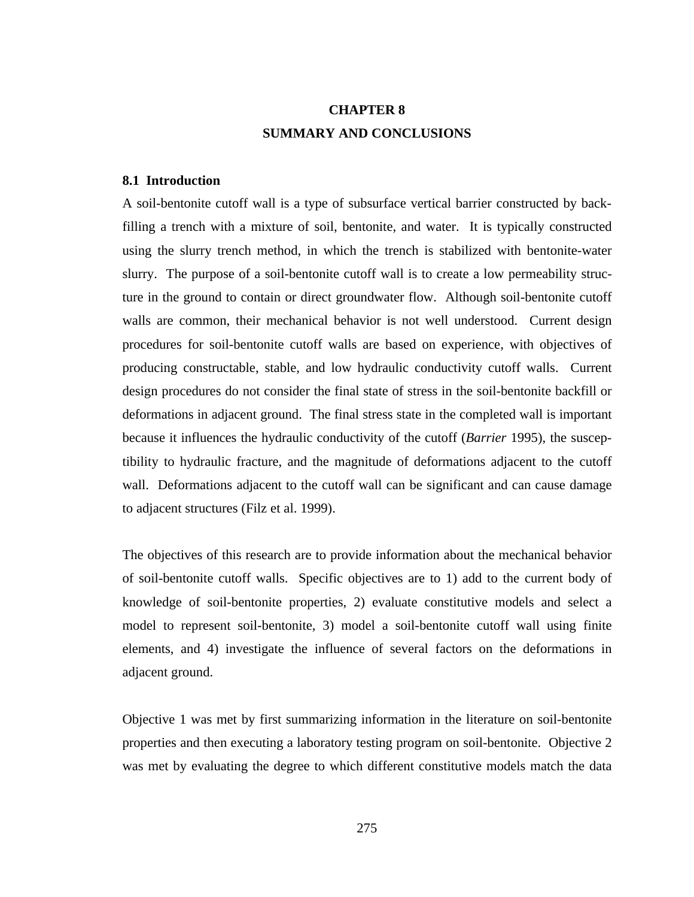# **CHAPTER 8 SUMMARY AND CONCLUSIONS**

# **8.1 Introduction**

A soil-bentonite cutoff wall is a type of subsurface vertical barrier constructed by backfilling a trench with a mixture of soil, bentonite, and water. It is typically constructed using the slurry trench method, in which the trench is stabilized with bentonite-water slurry. The purpose of a soil-bentonite cutoff wall is to create a low permeability structure in the ground to contain or direct groundwater flow. Although soil-bentonite cutoff walls are common, their mechanical behavior is not well understood. Current design procedures for soil-bentonite cutoff walls are based on experience, with objectives of producing constructable, stable, and low hydraulic conductivity cutoff walls. Current design procedures do not consider the final state of stress in the soil-bentonite backfill or deformations in adjacent ground. The final stress state in the completed wall is important because it influences the hydraulic conductivity of the cutoff (*Barrier* 1995), the susceptibility to hydraulic fracture, and the magnitude of deformations adjacent to the cutoff wall. Deformations adjacent to the cutoff wall can be significant and can cause damage to adjacent structures (Filz et al. 1999).

The objectives of this research are to provide information about the mechanical behavior of soil-bentonite cutoff walls. Specific objectives are to 1) add to the current body of knowledge of soil-bentonite properties, 2) evaluate constitutive models and select a model to represent soil-bentonite, 3) model a soil-bentonite cutoff wall using finite elements, and 4) investigate the influence of several factors on the deformations in adjacent ground.

Objective 1 was met by first summarizing information in the literature on soil-bentonite properties and then executing a laboratory testing program on soil-bentonite. Objective 2 was met by evaluating the degree to which different constitutive models match the data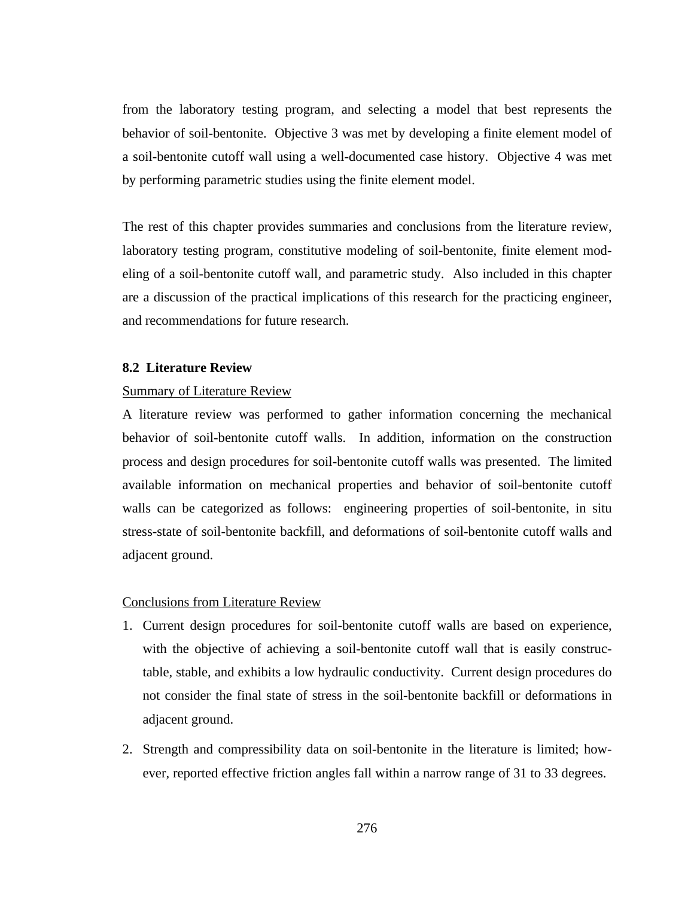from the laboratory testing program, and selecting a model that best represents the behavior of soil-bentonite. Objective 3 was met by developing a finite element model of a soil-bentonite cutoff wall using a well-documented case history. Objective 4 was met by performing parametric studies using the finite element model.

The rest of this chapter provides summaries and conclusions from the literature review, laboratory testing program, constitutive modeling of soil-bentonite, finite element modeling of a soil-bentonite cutoff wall, and parametric study. Also included in this chapter are a discussion of the practical implications of this research for the practicing engineer, and recommendations for future research.

## **8.2 Literature Review**

## Summary of Literature Review

A literature review was performed to gather information concerning the mechanical behavior of soil-bentonite cutoff walls. In addition, information on the construction process and design procedures for soil-bentonite cutoff walls was presented. The limited available information on mechanical properties and behavior of soil-bentonite cutoff walls can be categorized as follows: engineering properties of soil-bentonite, in situ stress-state of soil-bentonite backfill, and deformations of soil-bentonite cutoff walls and adjacent ground.

#### Conclusions from Literature Review

- 1. Current design procedures for soil-bentonite cutoff walls are based on experience, with the objective of achieving a soil-bentonite cutoff wall that is easily constructable, stable, and exhibits a low hydraulic conductivity. Current design procedures do not consider the final state of stress in the soil-bentonite backfill or deformations in adjacent ground.
- 2. Strength and compressibility data on soil-bentonite in the literature is limited; however, reported effective friction angles fall within a narrow range of 31 to 33 degrees.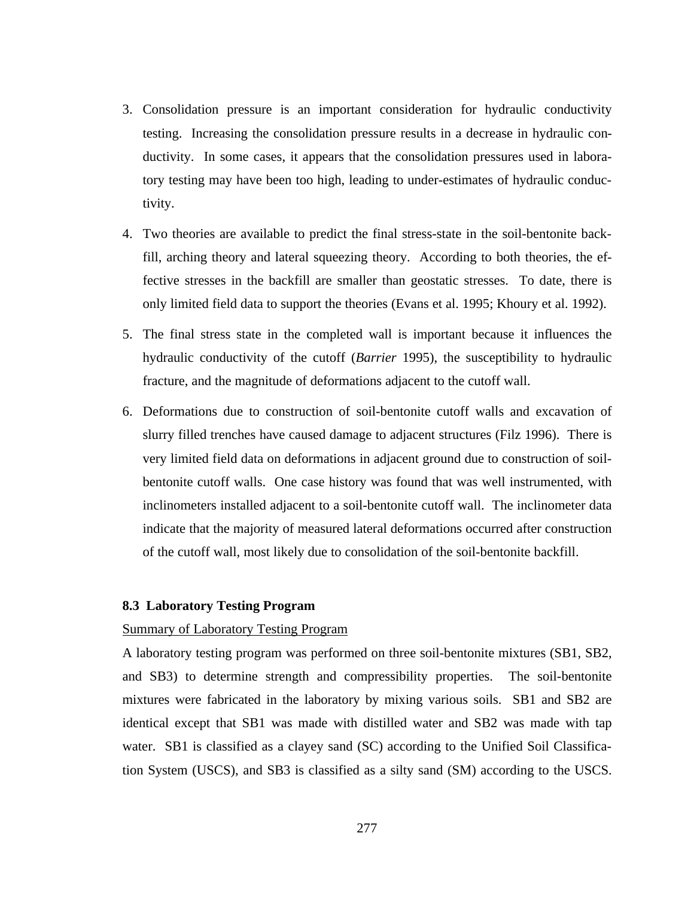- 3. Consolidation pressure is an important consideration for hydraulic conductivity testing. Increasing the consolidation pressure results in a decrease in hydraulic conductivity. In some cases, it appears that the consolidation pressures used in laboratory testing may have been too high, leading to under-estimates of hydraulic conductivity.
- 4. Two theories are available to predict the final stress-state in the soil-bentonite backfill, arching theory and lateral squeezing theory. According to both theories, the effective stresses in the backfill are smaller than geostatic stresses. To date, there is only limited field data to support the theories (Evans et al. 1995; Khoury et al. 1992).
- 5. The final stress state in the completed wall is important because it influences the hydraulic conductivity of the cutoff (*Barrier* 1995), the susceptibility to hydraulic fracture, and the magnitude of deformations adjacent to the cutoff wall.
- 6. Deformations due to construction of soil-bentonite cutoff walls and excavation of slurry filled trenches have caused damage to adjacent structures (Filz 1996). There is very limited field data on deformations in adjacent ground due to construction of soilbentonite cutoff walls. One case history was found that was well instrumented, with inclinometers installed adjacent to a soil-bentonite cutoff wall. The inclinometer data indicate that the majority of measured lateral deformations occurred after construction of the cutoff wall, most likely due to consolidation of the soil-bentonite backfill.

## **8.3 Laboratory Testing Program**

## Summary of Laboratory Testing Program

A laboratory testing program was performed on three soil-bentonite mixtures (SB1, SB2, and SB3) to determine strength and compressibility properties. The soil-bentonite mixtures were fabricated in the laboratory by mixing various soils. SB1 and SB2 are identical except that SB1 was made with distilled water and SB2 was made with tap water. SB1 is classified as a clayey sand (SC) according to the Unified Soil Classification System (USCS), and SB3 is classified as a silty sand (SM) according to the USCS.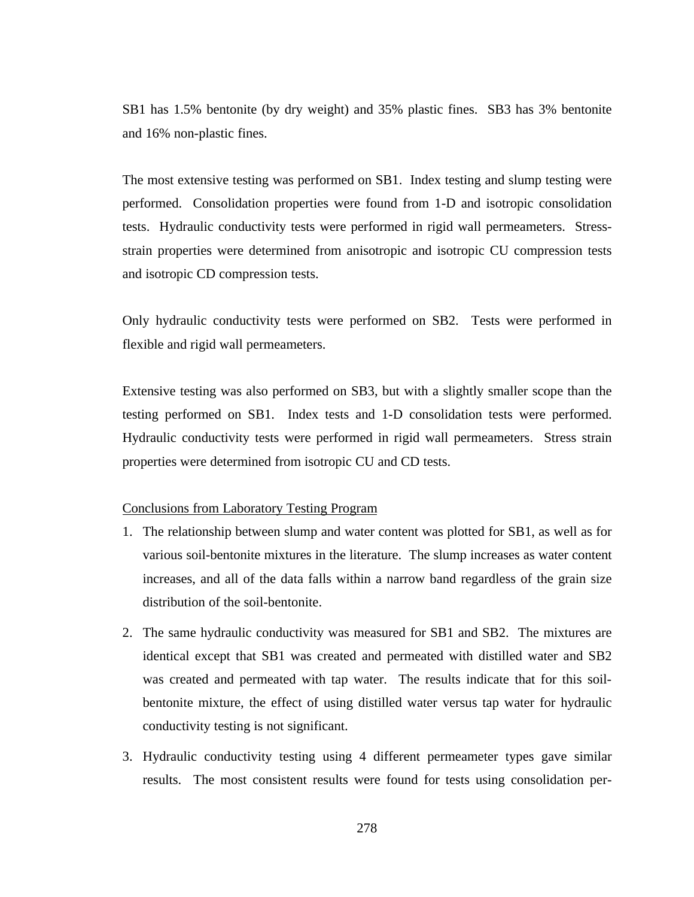SB1 has 1.5% bentonite (by dry weight) and 35% plastic fines. SB3 has 3% bentonite and 16% non-plastic fines.

The most extensive testing was performed on SB1. Index testing and slump testing were performed. Consolidation properties were found from 1-D and isotropic consolidation tests. Hydraulic conductivity tests were performed in rigid wall permeameters. Stressstrain properties were determined from anisotropic and isotropic CU compression tests and isotropic CD compression tests.

Only hydraulic conductivity tests were performed on SB2. Tests were performed in flexible and rigid wall permeameters.

Extensive testing was also performed on SB3, but with a slightly smaller scope than the testing performed on SB1. Index tests and 1-D consolidation tests were performed. Hydraulic conductivity tests were performed in rigid wall permeameters. Stress strain properties were determined from isotropic CU and CD tests.

#### Conclusions from Laboratory Testing Program

- 1. The relationship between slump and water content was plotted for SB1, as well as for various soil-bentonite mixtures in the literature. The slump increases as water content increases, and all of the data falls within a narrow band regardless of the grain size distribution of the soil-bentonite.
- 2. The same hydraulic conductivity was measured for SB1 and SB2. The mixtures are identical except that SB1 was created and permeated with distilled water and SB2 was created and permeated with tap water. The results indicate that for this soilbentonite mixture, the effect of using distilled water versus tap water for hydraulic conductivity testing is not significant.
- 3. Hydraulic conductivity testing using 4 different permeameter types gave similar results. The most consistent results were found for tests using consolidation per-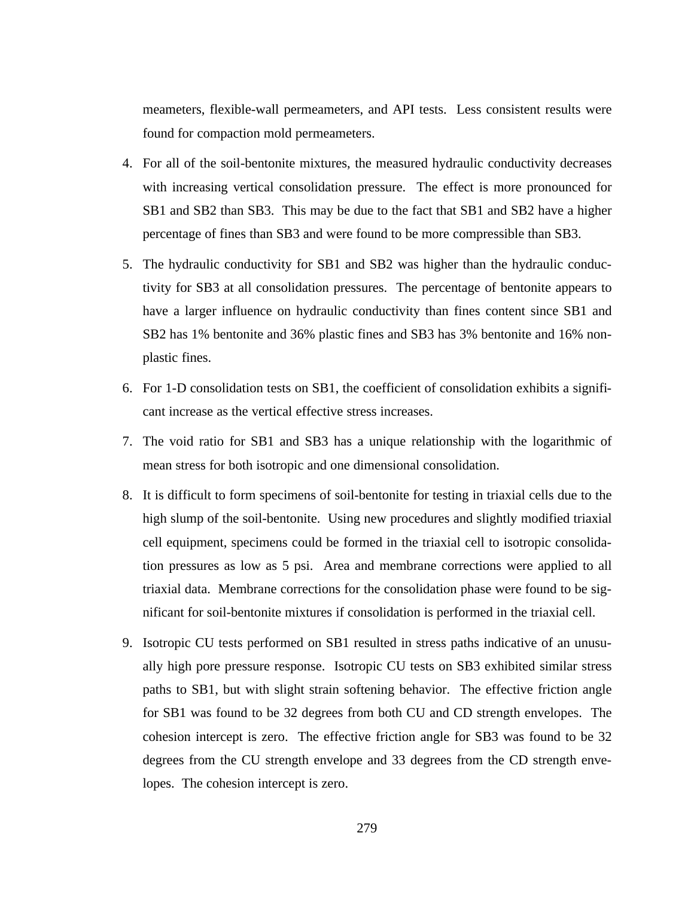meameters, flexible-wall permeameters, and API tests. Less consistent results were found for compaction mold permeameters.

- 4. For all of the soil-bentonite mixtures, the measured hydraulic conductivity decreases with increasing vertical consolidation pressure. The effect is more pronounced for SB1 and SB2 than SB3. This may be due to the fact that SB1 and SB2 have a higher percentage of fines than SB3 and were found to be more compressible than SB3.
- 5. The hydraulic conductivity for SB1 and SB2 was higher than the hydraulic conductivity for SB3 at all consolidation pressures. The percentage of bentonite appears to have a larger influence on hydraulic conductivity than fines content since SB1 and SB2 has 1% bentonite and 36% plastic fines and SB3 has 3% bentonite and 16% nonplastic fines.
- 6. For 1-D consolidation tests on SB1, the coefficient of consolidation exhibits a significant increase as the vertical effective stress increases.
- 7. The void ratio for SB1 and SB3 has a unique relationship with the logarithmic of mean stress for both isotropic and one dimensional consolidation.
- 8. It is difficult to form specimens of soil-bentonite for testing in triaxial cells due to the high slump of the soil-bentonite. Using new procedures and slightly modified triaxial cell equipment, specimens could be formed in the triaxial cell to isotropic consolidation pressures as low as 5 psi. Area and membrane corrections were applied to all triaxial data. Membrane corrections for the consolidation phase were found to be significant for soil-bentonite mixtures if consolidation is performed in the triaxial cell.
- 9. Isotropic CU tests performed on SB1 resulted in stress paths indicative of an unusually high pore pressure response. Isotropic CU tests on SB3 exhibited similar stress paths to SB1, but with slight strain softening behavior. The effective friction angle for SB1 was found to be 32 degrees from both CU and CD strength envelopes. The cohesion intercept is zero. The effective friction angle for SB3 was found to be 32 degrees from the CU strength envelope and 33 degrees from the CD strength envelopes. The cohesion intercept is zero.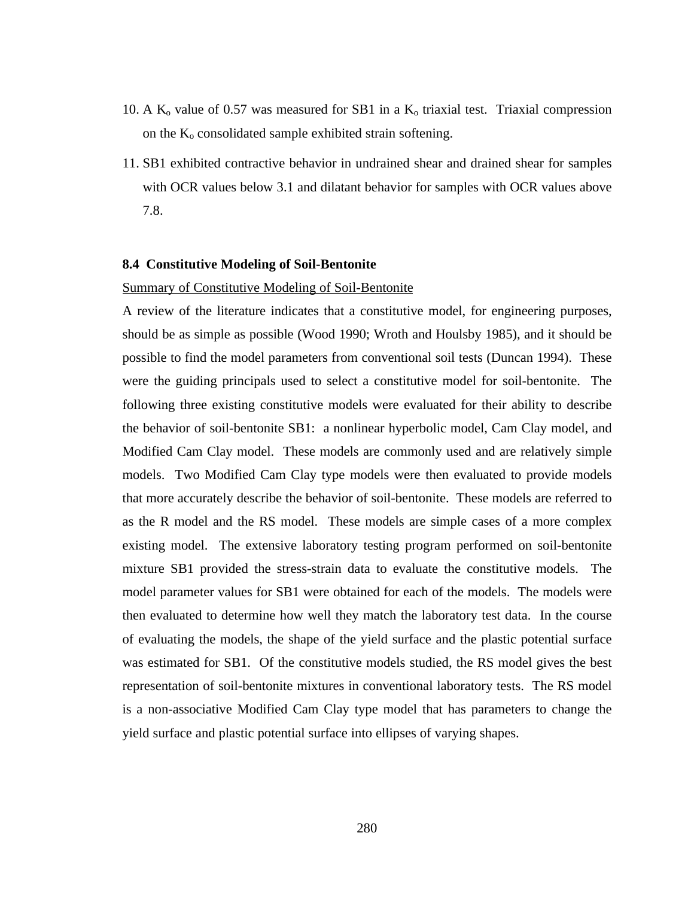- 10. A  $K_0$  value of 0.57 was measured for SB1 in a  $K_0$  triaxial test. Triaxial compression on the  $K_0$  consolidated sample exhibited strain softening.
- 11. SB1 exhibited contractive behavior in undrained shear and drained shear for samples with OCR values below 3.1 and dilatant behavior for samples with OCR values above 7.8.

## **8.4 Constitutive Modeling of Soil-Bentonite**

## Summary of Constitutive Modeling of Soil-Bentonite

A review of the literature indicates that a constitutive model, for engineering purposes, should be as simple as possible (Wood 1990; Wroth and Houlsby 1985), and it should be possible to find the model parameters from conventional soil tests (Duncan 1994). These were the guiding principals used to select a constitutive model for soil-bentonite. The following three existing constitutive models were evaluated for their ability to describe the behavior of soil-bentonite SB1: a nonlinear hyperbolic model, Cam Clay model, and Modified Cam Clay model. These models are commonly used and are relatively simple models. Two Modified Cam Clay type models were then evaluated to provide models that more accurately describe the behavior of soil-bentonite. These models are referred to as the R model and the RS model. These models are simple cases of a more complex existing model. The extensive laboratory testing program performed on soil-bentonite mixture SB1 provided the stress-strain data to evaluate the constitutive models. The model parameter values for SB1 were obtained for each of the models. The models were then evaluated to determine how well they match the laboratory test data. In the course of evaluating the models, the shape of the yield surface and the plastic potential surface was estimated for SB1. Of the constitutive models studied, the RS model gives the best representation of soil-bentonite mixtures in conventional laboratory tests. The RS model is a non-associative Modified Cam Clay type model that has parameters to change the yield surface and plastic potential surface into ellipses of varying shapes.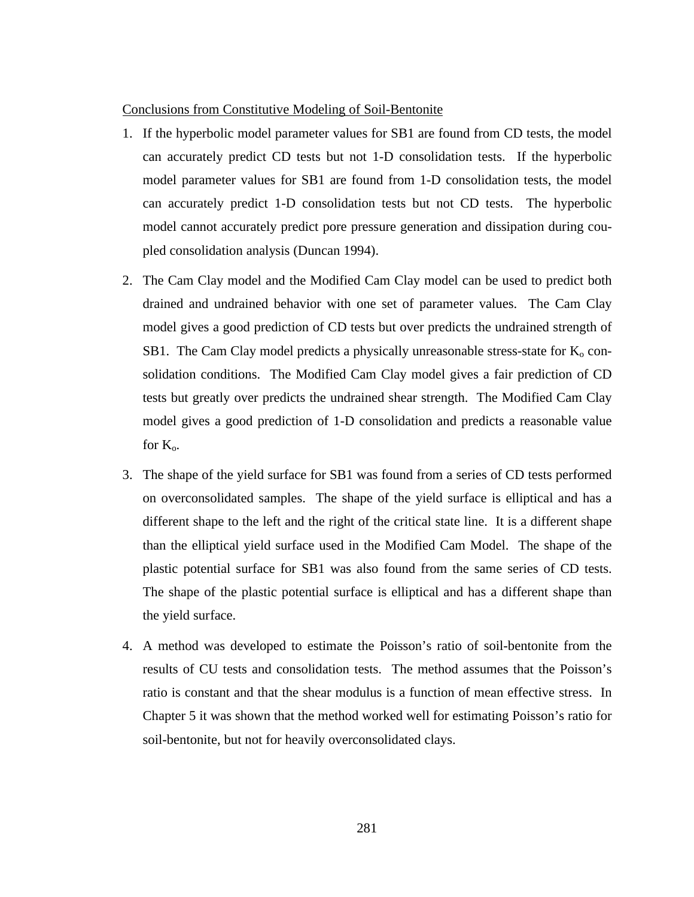#### Conclusions from Constitutive Modeling of Soil-Bentonite

- 1. If the hyperbolic model parameter values for SB1 are found from CD tests, the model can accurately predict CD tests but not 1-D consolidation tests. If the hyperbolic model parameter values for SB1 are found from 1-D consolidation tests, the model can accurately predict 1-D consolidation tests but not CD tests. The hyperbolic model cannot accurately predict pore pressure generation and dissipation during coupled consolidation analysis (Duncan 1994).
- 2. The Cam Clay model and the Modified Cam Clay model can be used to predict both drained and undrained behavior with one set of parameter values. The Cam Clay model gives a good prediction of CD tests but over predicts the undrained strength of SB1. The Cam Clay model predicts a physically unreasonable stress-state for  $K_0$  consolidation conditions. The Modified Cam Clay model gives a fair prediction of CD tests but greatly over predicts the undrained shear strength. The Modified Cam Clay model gives a good prediction of 1-D consolidation and predicts a reasonable value for  $K_{\alpha}$ .
- 3. The shape of the yield surface for SB1 was found from a series of CD tests performed on overconsolidated samples. The shape of the yield surface is elliptical and has a different shape to the left and the right of the critical state line. It is a different shape than the elliptical yield surface used in the Modified Cam Model. The shape of the plastic potential surface for SB1 was also found from the same series of CD tests. The shape of the plastic potential surface is elliptical and has a different shape than the yield surface.
- 4. A method was developed to estimate the Poisson's ratio of soil-bentonite from the results of CU tests and consolidation tests. The method assumes that the Poisson's ratio is constant and that the shear modulus is a function of mean effective stress. In Chapter 5 it was shown that the method worked well for estimating Poisson's ratio for soil-bentonite, but not for heavily overconsolidated clays.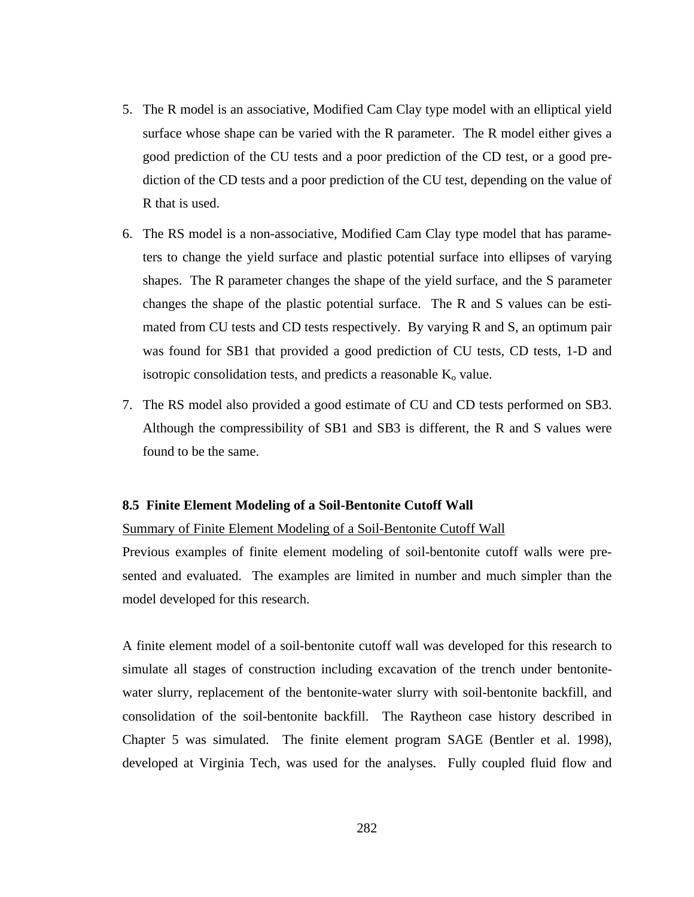- 5. The R model is an associative, Modified Cam Clay type model with an elliptical yield surface whose shape can be varied with the R parameter. The R model either gives a good prediction of the CU tests and a poor prediction of the CD test, or a good prediction of the CD tests and a poor prediction of the CU test, depending on the value of R that is used.
- 6. The RS model is a non-associative, Modified Cam Clay type model that has parameters to change the yield surface and plastic potential surface into ellipses of varying shapes. The R parameter changes the shape of the yield surface, and the S parameter changes the shape of the plastic potential surface. The R and S values can be estimated from CU tests and CD tests respectively. By varying R and S, an optimum pair was found for SB1 that provided a good prediction of CU tests, CD tests, 1-D and isotropic consolidation tests, and predicts a reasonable  $K_0$  value.
- 7. The RS model also provided a good estimate of CU and CD tests performed on SB3. Although the compressibility of SB1 and SB3 is different, the R and S values were found to be the same.

#### **8.5 Finite Element Modeling of a Soil-Bentonite Cutoff Wall**

#### Summary of Finite Element Modeling of a Soil-Bentonite Cutoff Wall

Previous examples of finite element modeling of soil-bentonite cutoff walls were presented and evaluated. The examples are limited in number and much simpler than the model developed for this research.

A finite element model of a soil-bentonite cutoff wall was developed for this research to simulate all stages of construction including excavation of the trench under bentonitewater slurry, replacement of the bentonite-water slurry with soil-bentonite backfill, and consolidation of the soil-bentonite backfill. The Raytheon case history described in Chapter 5 was simulated. The finite element program SAGE (Bentler et al. 1998), developed at Virginia Tech, was used for the analyses. Fully coupled fluid flow and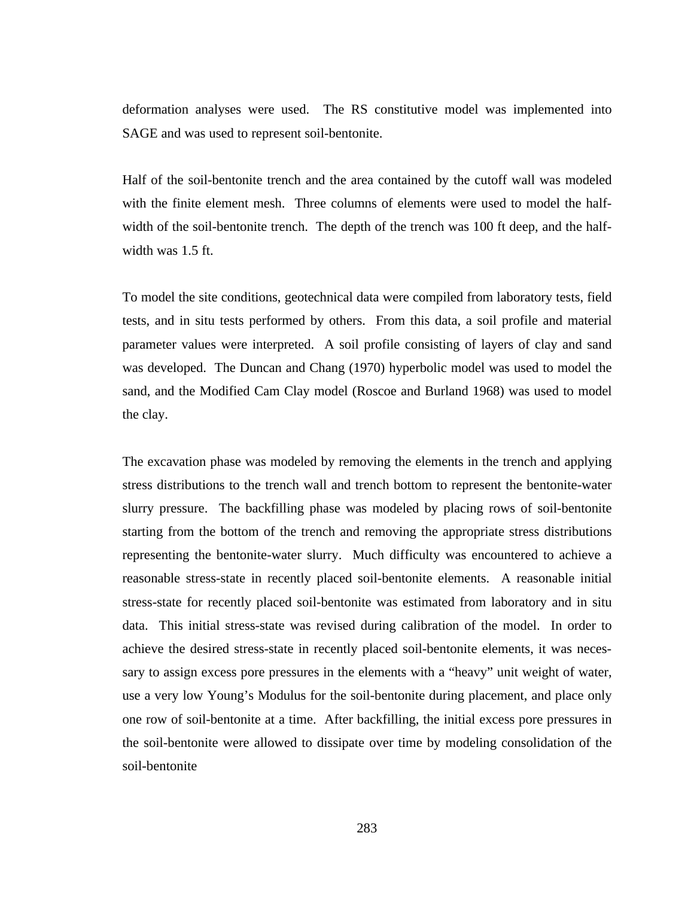deformation analyses were used. The RS constitutive model was implemented into SAGE and was used to represent soil-bentonite.

Half of the soil-bentonite trench and the area contained by the cutoff wall was modeled with the finite element mesh. Three columns of elements were used to model the halfwidth of the soil-bentonite trench. The depth of the trench was 100 ft deep, and the halfwidth was 1.5 ft.

To model the site conditions, geotechnical data were compiled from laboratory tests, field tests, and in situ tests performed by others. From this data, a soil profile and material parameter values were interpreted. A soil profile consisting of layers of clay and sand was developed. The Duncan and Chang (1970) hyperbolic model was used to model the sand, and the Modified Cam Clay model (Roscoe and Burland 1968) was used to model the clay.

The excavation phase was modeled by removing the elements in the trench and applying stress distributions to the trench wall and trench bottom to represent the bentonite-water slurry pressure. The backfilling phase was modeled by placing rows of soil-bentonite starting from the bottom of the trench and removing the appropriate stress distributions representing the bentonite-water slurry. Much difficulty was encountered to achieve a reasonable stress-state in recently placed soil-bentonite elements. A reasonable initial stress-state for recently placed soil-bentonite was estimated from laboratory and in situ data. This initial stress-state was revised during calibration of the model. In order to achieve the desired stress-state in recently placed soil-bentonite elements, it was necessary to assign excess pore pressures in the elements with a "heavy" unit weight of water, use a very low Young's Modulus for the soil-bentonite during placement, and place only one row of soil-bentonite at a time. After backfilling, the initial excess pore pressures in the soil-bentonite were allowed to dissipate over time by modeling consolidation of the soil-bentonite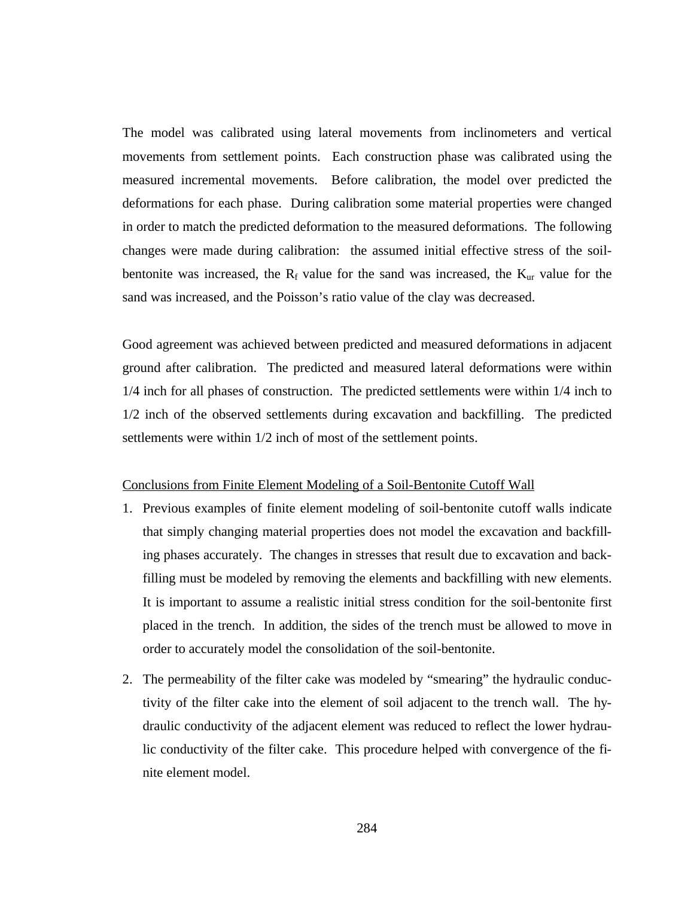The model was calibrated using lateral movements from inclinometers and vertical movements from settlement points. Each construction phase was calibrated using the measured incremental movements. Before calibration, the model over predicted the deformations for each phase. During calibration some material properties were changed in order to match the predicted deformation to the measured deformations. The following changes were made during calibration: the assumed initial effective stress of the soilbentonite was increased, the  $R_f$  value for the sand was increased, the  $K_{ur}$  value for the sand was increased, and the Poisson's ratio value of the clay was decreased.

Good agreement was achieved between predicted and measured deformations in adjacent ground after calibration. The predicted and measured lateral deformations were within 1/4 inch for all phases of construction. The predicted settlements were within 1/4 inch to 1/2 inch of the observed settlements during excavation and backfilling. The predicted settlements were within 1/2 inch of most of the settlement points.

#### Conclusions from Finite Element Modeling of a Soil-Bentonite Cutoff Wall

- 1. Previous examples of finite element modeling of soil-bentonite cutoff walls indicate that simply changing material properties does not model the excavation and backfilling phases accurately. The changes in stresses that result due to excavation and backfilling must be modeled by removing the elements and backfilling with new elements. It is important to assume a realistic initial stress condition for the soil-bentonite first placed in the trench. In addition, the sides of the trench must be allowed to move in order to accurately model the consolidation of the soil-bentonite.
- 2. The permeability of the filter cake was modeled by "smearing" the hydraulic conductivity of the filter cake into the element of soil adjacent to the trench wall. The hydraulic conductivity of the adjacent element was reduced to reflect the lower hydraulic conductivity of the filter cake. This procedure helped with convergence of the finite element model.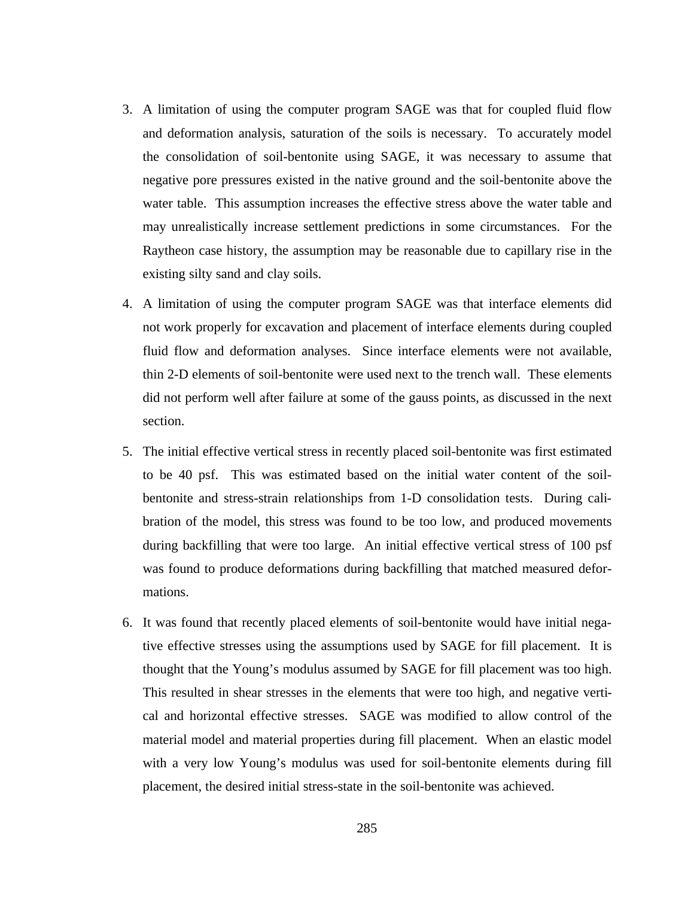- 3. A limitation of using the computer program SAGE was that for coupled fluid flow and deformation analysis, saturation of the soils is necessary. To accurately model the consolidation of soil-bentonite using SAGE, it was necessary to assume that negative pore pressures existed in the native ground and the soil-bentonite above the water table. This assumption increases the effective stress above the water table and may unrealistically increase settlement predictions in some circumstances. For the Raytheon case history, the assumption may be reasonable due to capillary rise in the existing silty sand and clay soils.
- 4. A limitation of using the computer program SAGE was that interface elements did not work properly for excavation and placement of interface elements during coupled fluid flow and deformation analyses. Since interface elements were not available, thin 2-D elements of soil-bentonite were used next to the trench wall. These elements did not perform well after failure at some of the gauss points, as discussed in the next section.
- 5. The initial effective vertical stress in recently placed soil-bentonite was first estimated to be 40 psf. This was estimated based on the initial water content of the soilbentonite and stress-strain relationships from 1-D consolidation tests. During calibration of the model, this stress was found to be too low, and produced movements during backfilling that were too large. An initial effective vertical stress of 100 psf was found to produce deformations during backfilling that matched measured deformations.
- 6. It was found that recently placed elements of soil-bentonite would have initial negative effective stresses using the assumptions used by SAGE for fill placement. It is thought that the Young's modulus assumed by SAGE for fill placement was too high. This resulted in shear stresses in the elements that were too high, and negative vertical and horizontal effective stresses. SAGE was modified to allow control of the material model and material properties during fill placement. When an elastic model with a very low Young's modulus was used for soil-bentonite elements during fill placement, the desired initial stress-state in the soil-bentonite was achieved.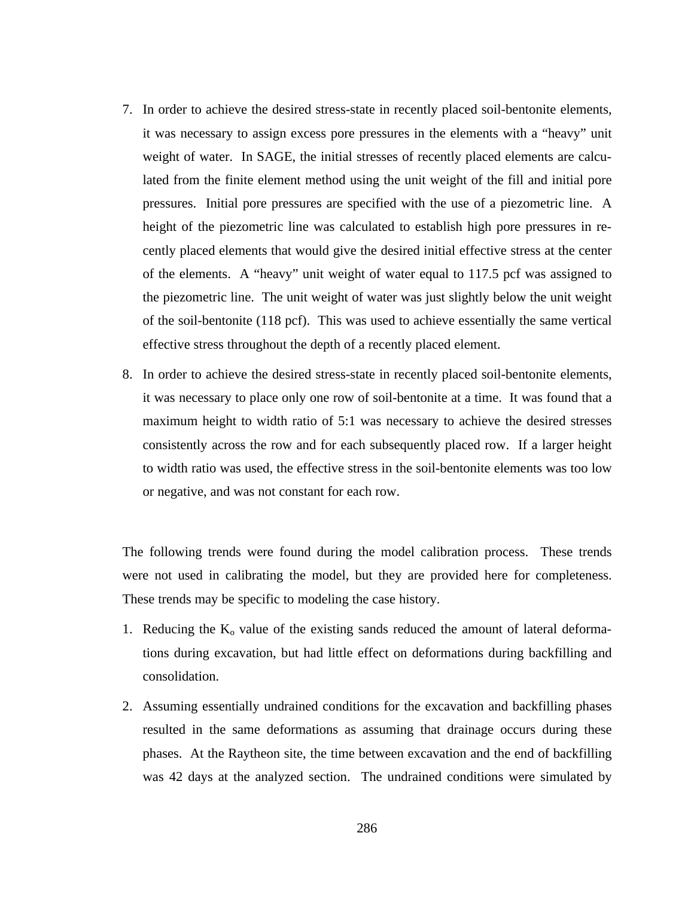- 7. In order to achieve the desired stress-state in recently placed soil-bentonite elements, it was necessary to assign excess pore pressures in the elements with a "heavy" unit weight of water. In SAGE, the initial stresses of recently placed elements are calculated from the finite element method using the unit weight of the fill and initial pore pressures. Initial pore pressures are specified with the use of a piezometric line. A height of the piezometric line was calculated to establish high pore pressures in recently placed elements that would give the desired initial effective stress at the center of the elements. A "heavy" unit weight of water equal to 117.5 pcf was assigned to the piezometric line. The unit weight of water was just slightly below the unit weight of the soil-bentonite (118 pcf). This was used to achieve essentially the same vertical effective stress throughout the depth of a recently placed element.
- 8. In order to achieve the desired stress-state in recently placed soil-bentonite elements, it was necessary to place only one row of soil-bentonite at a time. It was found that a maximum height to width ratio of 5:1 was necessary to achieve the desired stresses consistently across the row and for each subsequently placed row. If a larger height to width ratio was used, the effective stress in the soil-bentonite elements was too low or negative, and was not constant for each row.

The following trends were found during the model calibration process. These trends were not used in calibrating the model, but they are provided here for completeness. These trends may be specific to modeling the case history.

- 1. Reducing the  $K_0$  value of the existing sands reduced the amount of lateral deformations during excavation, but had little effect on deformations during backfilling and consolidation.
- 2. Assuming essentially undrained conditions for the excavation and backfilling phases resulted in the same deformations as assuming that drainage occurs during these phases. At the Raytheon site, the time between excavation and the end of backfilling was 42 days at the analyzed section. The undrained conditions were simulated by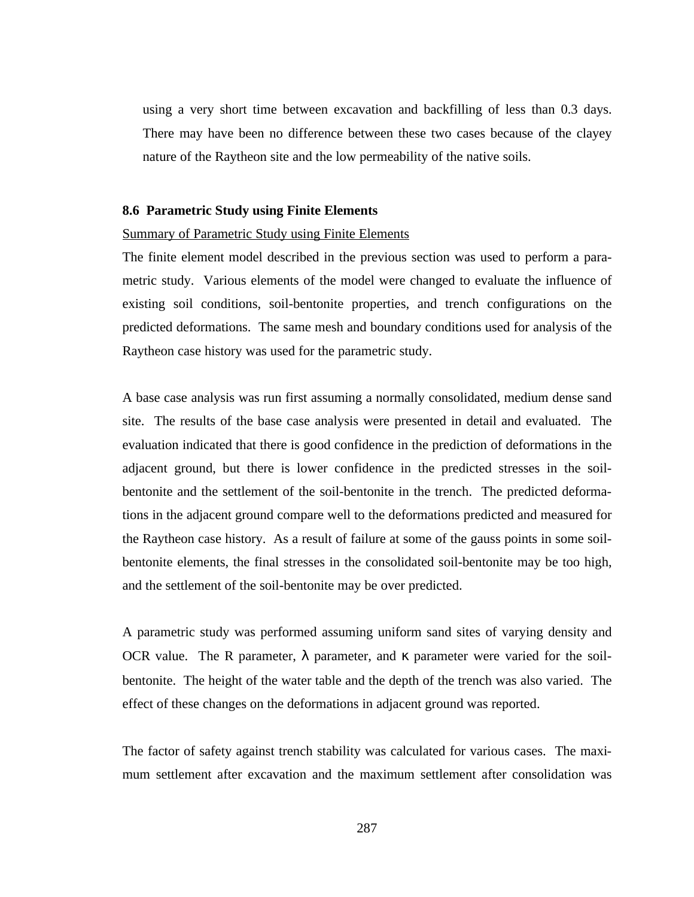using a very short time between excavation and backfilling of less than 0.3 days. There may have been no difference between these two cases because of the clayey nature of the Raytheon site and the low permeability of the native soils.

#### **8.6 Parametric Study using Finite Elements**

#### Summary of Parametric Study using Finite Elements

The finite element model described in the previous section was used to perform a parametric study. Various elements of the model were changed to evaluate the influence of existing soil conditions, soil-bentonite properties, and trench configurations on the predicted deformations. The same mesh and boundary conditions used for analysis of the Raytheon case history was used for the parametric study.

A base case analysis was run first assuming a normally consolidated, medium dense sand site. The results of the base case analysis were presented in detail and evaluated. The evaluation indicated that there is good confidence in the prediction of deformations in the adjacent ground, but there is lower confidence in the predicted stresses in the soilbentonite and the settlement of the soil-bentonite in the trench. The predicted deformations in the adjacent ground compare well to the deformations predicted and measured for the Raytheon case history. As a result of failure at some of the gauss points in some soilbentonite elements, the final stresses in the consolidated soil-bentonite may be too high, and the settlement of the soil-bentonite may be over predicted.

A parametric study was performed assuming uniform sand sites of varying density and OCR value. The R parameter,  $\lambda$  parameter, and  $\kappa$  parameter were varied for the soilbentonite. The height of the water table and the depth of the trench was also varied. The effect of these changes on the deformations in adjacent ground was reported.

The factor of safety against trench stability was calculated for various cases. The maximum settlement after excavation and the maximum settlement after consolidation was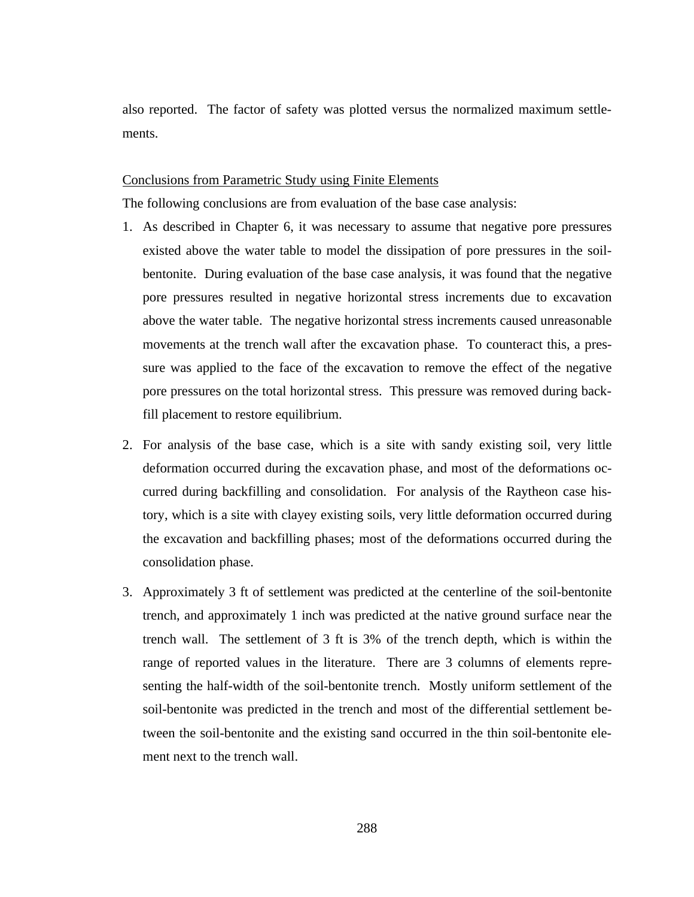also reported. The factor of safety was plotted versus the normalized maximum settlements.

## Conclusions from Parametric Study using Finite Elements

The following conclusions are from evaluation of the base case analysis:

- 1. As described in Chapter 6, it was necessary to assume that negative pore pressures existed above the water table to model the dissipation of pore pressures in the soilbentonite. During evaluation of the base case analysis, it was found that the negative pore pressures resulted in negative horizontal stress increments due to excavation above the water table. The negative horizontal stress increments caused unreasonable movements at the trench wall after the excavation phase. To counteract this, a pressure was applied to the face of the excavation to remove the effect of the negative pore pressures on the total horizontal stress. This pressure was removed during backfill placement to restore equilibrium.
- 2. For analysis of the base case, which is a site with sandy existing soil, very little deformation occurred during the excavation phase, and most of the deformations occurred during backfilling and consolidation. For analysis of the Raytheon case history, which is a site with clayey existing soils, very little deformation occurred during the excavation and backfilling phases; most of the deformations occurred during the consolidation phase.
- 3. Approximately 3 ft of settlement was predicted at the centerline of the soil-bentonite trench, and approximately 1 inch was predicted at the native ground surface near the trench wall. The settlement of 3 ft is 3% of the trench depth, which is within the range of reported values in the literature. There are 3 columns of elements representing the half-width of the soil-bentonite trench. Mostly uniform settlement of the soil-bentonite was predicted in the trench and most of the differential settlement between the soil-bentonite and the existing sand occurred in the thin soil-bentonite element next to the trench wall.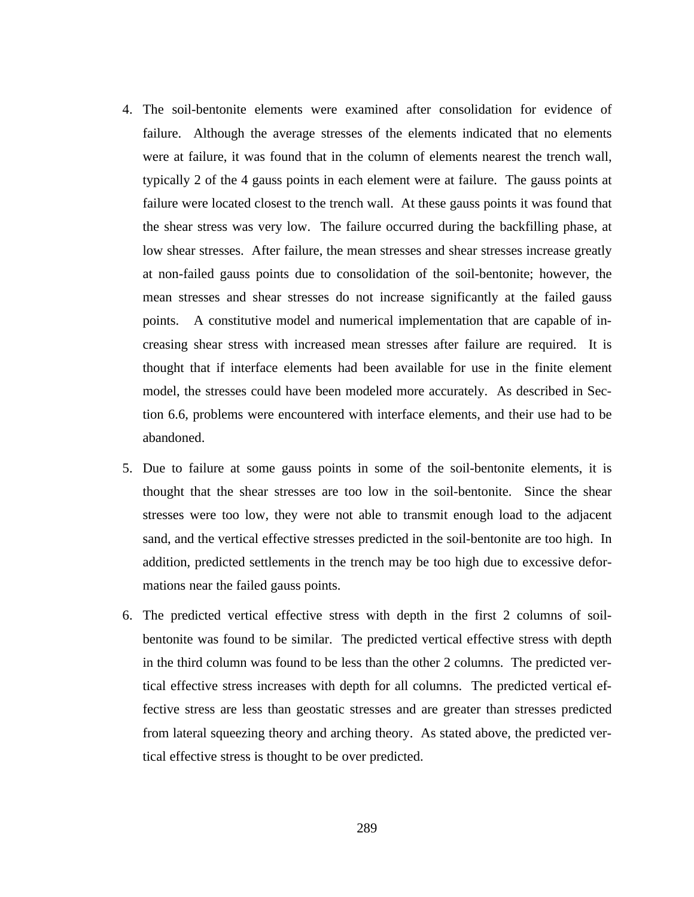- 4. The soil-bentonite elements were examined after consolidation for evidence of failure. Although the average stresses of the elements indicated that no elements were at failure, it was found that in the column of elements nearest the trench wall, typically 2 of the 4 gauss points in each element were at failure. The gauss points at failure were located closest to the trench wall. At these gauss points it was found that the shear stress was very low. The failure occurred during the backfilling phase, at low shear stresses. After failure, the mean stresses and shear stresses increase greatly at non-failed gauss points due to consolidation of the soil-bentonite; however, the mean stresses and shear stresses do not increase significantly at the failed gauss points. A constitutive model and numerical implementation that are capable of increasing shear stress with increased mean stresses after failure are required. It is thought that if interface elements had been available for use in the finite element model, the stresses could have been modeled more accurately. As described in Section 6.6, problems were encountered with interface elements, and their use had to be abandoned.
- 5. Due to failure at some gauss points in some of the soil-bentonite elements, it is thought that the shear stresses are too low in the soil-bentonite. Since the shear stresses were too low, they were not able to transmit enough load to the adjacent sand, and the vertical effective stresses predicted in the soil-bentonite are too high. In addition, predicted settlements in the trench may be too high due to excessive deformations near the failed gauss points.
- 6. The predicted vertical effective stress with depth in the first 2 columns of soilbentonite was found to be similar. The predicted vertical effective stress with depth in the third column was found to be less than the other 2 columns. The predicted vertical effective stress increases with depth for all columns. The predicted vertical effective stress are less than geostatic stresses and are greater than stresses predicted from lateral squeezing theory and arching theory. As stated above, the predicted vertical effective stress is thought to be over predicted.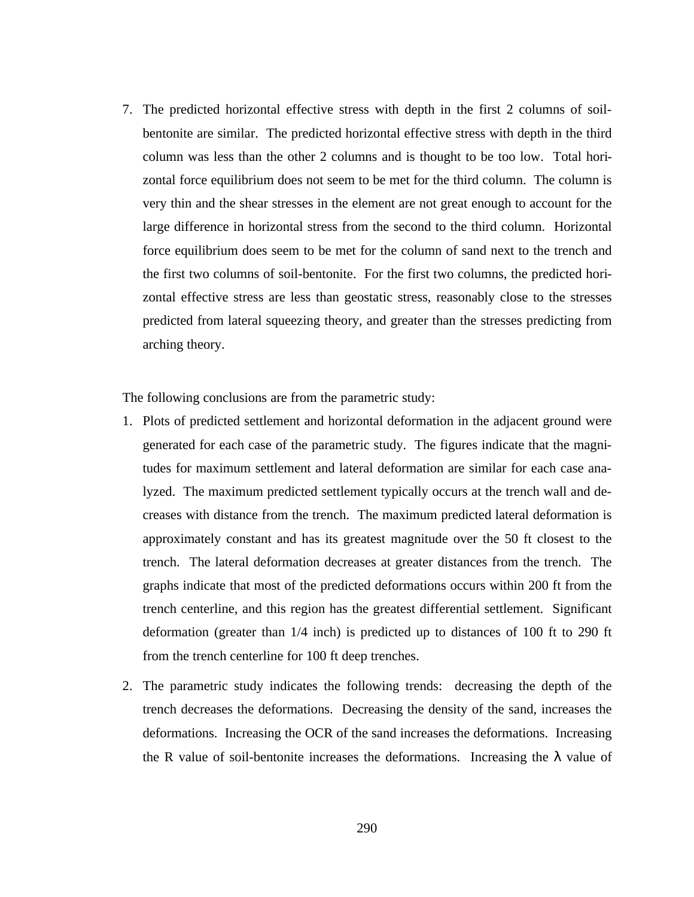7. The predicted horizontal effective stress with depth in the first 2 columns of soilbentonite are similar. The predicted horizontal effective stress with depth in the third column was less than the other 2 columns and is thought to be too low. Total horizontal force equilibrium does not seem to be met for the third column. The column is very thin and the shear stresses in the element are not great enough to account for the large difference in horizontal stress from the second to the third column. Horizontal force equilibrium does seem to be met for the column of sand next to the trench and the first two columns of soil-bentonite. For the first two columns, the predicted horizontal effective stress are less than geostatic stress, reasonably close to the stresses predicted from lateral squeezing theory, and greater than the stresses predicting from arching theory.

The following conclusions are from the parametric study:

- 1. Plots of predicted settlement and horizontal deformation in the adjacent ground were generated for each case of the parametric study. The figures indicate that the magnitudes for maximum settlement and lateral deformation are similar for each case analyzed. The maximum predicted settlement typically occurs at the trench wall and decreases with distance from the trench. The maximum predicted lateral deformation is approximately constant and has its greatest magnitude over the 50 ft closest to the trench. The lateral deformation decreases at greater distances from the trench. The graphs indicate that most of the predicted deformations occurs within 200 ft from the trench centerline, and this region has the greatest differential settlement. Significant deformation (greater than 1/4 inch) is predicted up to distances of 100 ft to 290 ft from the trench centerline for 100 ft deep trenches.
- 2. The parametric study indicates the following trends: decreasing the depth of the trench decreases the deformations. Decreasing the density of the sand, increases the deformations. Increasing the OCR of the sand increases the deformations. Increasing the R value of soil-bentonite increases the deformations. Increasing the  $\lambda$  value of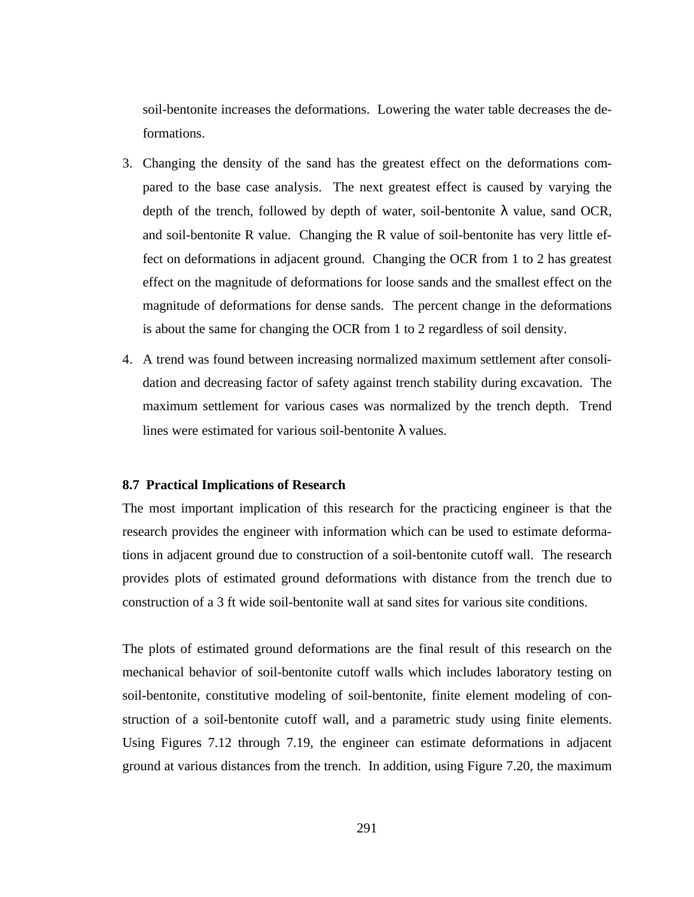soil-bentonite increases the deformations. Lowering the water table decreases the deformations.

- 3. Changing the density of the sand has the greatest effect on the deformations compared to the base case analysis. The next greatest effect is caused by varying the depth of the trench, followed by depth of water, soil-bentonite  $\lambda$  value, sand OCR, and soil-bentonite R value. Changing the R value of soil-bentonite has very little effect on deformations in adjacent ground. Changing the OCR from 1 to 2 has greatest effect on the magnitude of deformations for loose sands and the smallest effect on the magnitude of deformations for dense sands. The percent change in the deformations is about the same for changing the OCR from 1 to 2 regardless of soil density.
- 4. A trend was found between increasing normalized maximum settlement after consolidation and decreasing factor of safety against trench stability during excavation. The maximum settlement for various cases was normalized by the trench depth. Trend lines were estimated for various soil-bentonite  $\lambda$  values.

## **8.7 Practical Implications of Research**

The most important implication of this research for the practicing engineer is that the research provides the engineer with information which can be used to estimate deformations in adjacent ground due to construction of a soil-bentonite cutoff wall. The research provides plots of estimated ground deformations with distance from the trench due to construction of a 3 ft wide soil-bentonite wall at sand sites for various site conditions.

The plots of estimated ground deformations are the final result of this research on the mechanical behavior of soil-bentonite cutoff walls which includes laboratory testing on soil-bentonite, constitutive modeling of soil-bentonite, finite element modeling of construction of a soil-bentonite cutoff wall, and a parametric study using finite elements. Using Figures 7.12 through 7.19, the engineer can estimate deformations in adjacent ground at various distances from the trench. In addition, using Figure 7.20, the maximum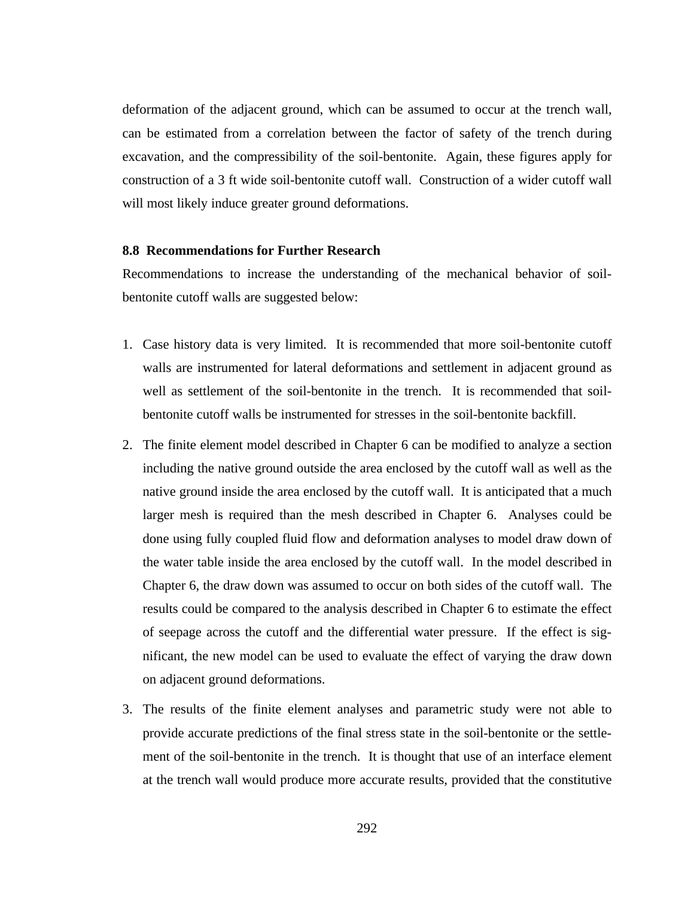deformation of the adjacent ground, which can be assumed to occur at the trench wall, can be estimated from a correlation between the factor of safety of the trench during excavation, and the compressibility of the soil-bentonite. Again, these figures apply for construction of a 3 ft wide soil-bentonite cutoff wall. Construction of a wider cutoff wall will most likely induce greater ground deformations.

## **8.8 Recommendations for Further Research**

Recommendations to increase the understanding of the mechanical behavior of soilbentonite cutoff walls are suggested below:

- 1. Case history data is very limited. It is recommended that more soil-bentonite cutoff walls are instrumented for lateral deformations and settlement in adjacent ground as well as settlement of the soil-bentonite in the trench. It is recommended that soilbentonite cutoff walls be instrumented for stresses in the soil-bentonite backfill.
- 2. The finite element model described in Chapter 6 can be modified to analyze a section including the native ground outside the area enclosed by the cutoff wall as well as the native ground inside the area enclosed by the cutoff wall. It is anticipated that a much larger mesh is required than the mesh described in Chapter 6. Analyses could be done using fully coupled fluid flow and deformation analyses to model draw down of the water table inside the area enclosed by the cutoff wall. In the model described in Chapter 6, the draw down was assumed to occur on both sides of the cutoff wall. The results could be compared to the analysis described in Chapter 6 to estimate the effect of seepage across the cutoff and the differential water pressure. If the effect is significant, the new model can be used to evaluate the effect of varying the draw down on adjacent ground deformations.
- 3. The results of the finite element analyses and parametric study were not able to provide accurate predictions of the final stress state in the soil-bentonite or the settlement of the soil-bentonite in the trench. It is thought that use of an interface element at the trench wall would produce more accurate results, provided that the constitutive